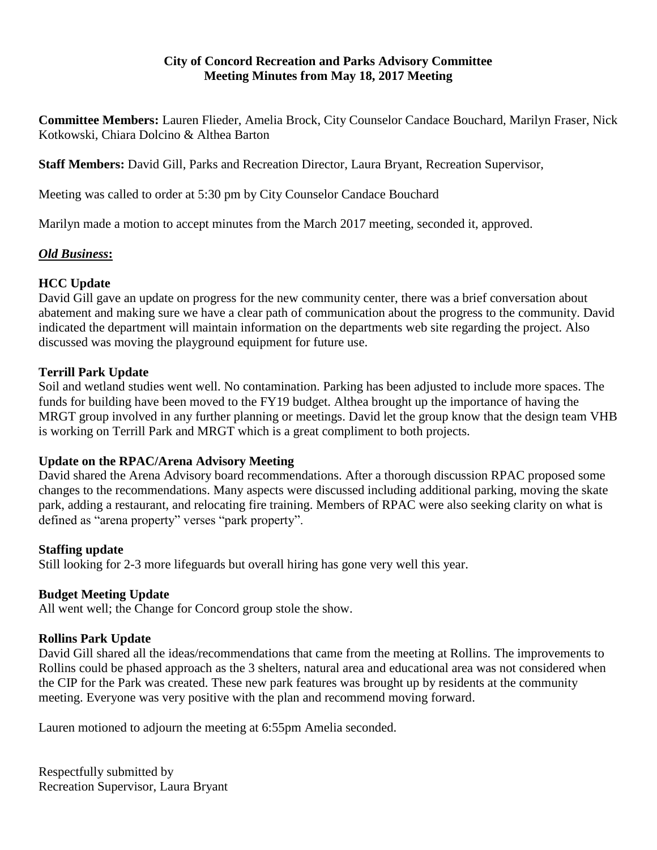#### **City of Concord Recreation and Parks Advisory Committee Meeting Minutes from May 18, 2017 Meeting**

**Committee Members:** Lauren Flieder, Amelia Brock, City Counselor Candace Bouchard, Marilyn Fraser, Nick Kotkowski, Chiara Dolcino & Althea Barton

**Staff Members:** David Gill, Parks and Recreation Director, Laura Bryant, Recreation Supervisor,

Meeting was called to order at 5:30 pm by City Counselor Candace Bouchard

Marilyn made a motion to accept minutes from the March 2017 meeting, seconded it, approved.

# *Old Business***:**

## **HCC Update**

David Gill gave an update on progress for the new community center, there was a brief conversation about abatement and making sure we have a clear path of communication about the progress to the community. David indicated the department will maintain information on the departments web site regarding the project. Also discussed was moving the playground equipment for future use.

### **Terrill Park Update**

Soil and wetland studies went well. No contamination. Parking has been adjusted to include more spaces. The funds for building have been moved to the FY19 budget. Althea brought up the importance of having the MRGT group involved in any further planning or meetings. David let the group know that the design team VHB is working on Terrill Park and MRGT which is a great compliment to both projects.

### **Update on the RPAC/Arena Advisory Meeting**

David shared the Arena Advisory board recommendations. After a thorough discussion RPAC proposed some changes to the recommendations. Many aspects were discussed including additional parking, moving the skate park, adding a restaurant, and relocating fire training. Members of RPAC were also seeking clarity on what is defined as "arena property" verses "park property".

### **Staffing update**

Still looking for 2-3 more lifeguards but overall hiring has gone very well this year.

### **Budget Meeting Update**

All went well; the Change for Concord group stole the show.

### **Rollins Park Update**

David Gill shared all the ideas/recommendations that came from the meeting at Rollins. The improvements to Rollins could be phased approach as the 3 shelters, natural area and educational area was not considered when the CIP for the Park was created. These new park features was brought up by residents at the community meeting. Everyone was very positive with the plan and recommend moving forward.

Lauren motioned to adjourn the meeting at 6:55pm Amelia seconded.

Respectfully submitted by Recreation Supervisor, Laura Bryant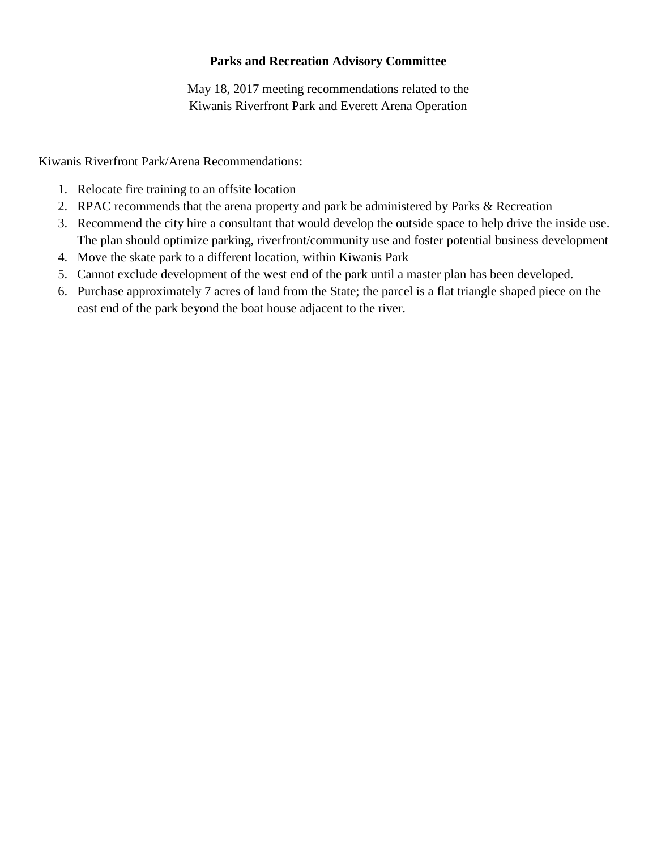### **Parks and Recreation Advisory Committee**

May 18, 2017 meeting recommendations related to the Kiwanis Riverfront Park and Everett Arena Operation

Kiwanis Riverfront Park/Arena Recommendations:

- 1. Relocate fire training to an offsite location
- 2. RPAC recommends that the arena property and park be administered by Parks & Recreation
- 3. Recommend the city hire a consultant that would develop the outside space to help drive the inside use. The plan should optimize parking, riverfront/community use and foster potential business development
- 4. Move the skate park to a different location, within Kiwanis Park
- 5. Cannot exclude development of the west end of the park until a master plan has been developed.
- 6. Purchase approximately 7 acres of land from the State; the parcel is a flat triangle shaped piece on the east end of the park beyond the boat house adjacent to the river.